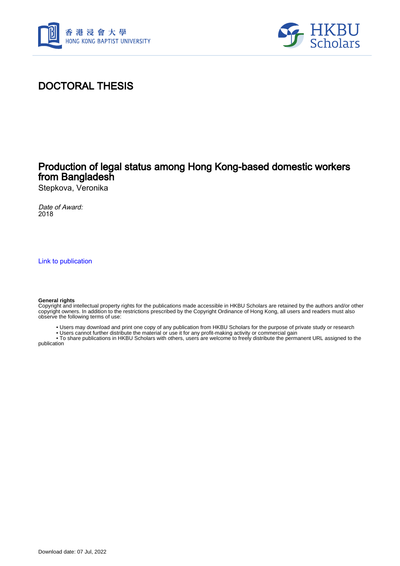



# DOCTORAL THESIS

## Production of legal status among Hong Kong-based domestic workers from Bangladesh

Stepkova, Veronika

Date of Award: 2018

[Link to publication](https://scholars.hkbu.edu.hk/en/studentTheses/d8445e24-f3cf-4a99-9a7b-4de9dae55ee0)

#### **General rights**

Copyright and intellectual property rights for the publications made accessible in HKBU Scholars are retained by the authors and/or other copyright owners. In addition to the restrictions prescribed by the Copyright Ordinance of Hong Kong, all users and readers must also observe the following terms of use:

- Users may download and print one copy of any publication from HKBU Scholars for the purpose of private study or research
- Users cannot further distribute the material or use it for any profit-making activity or commercial gain

 • To share publications in HKBU Scholars with others, users are welcome to freely distribute the permanent URL assigned to the publication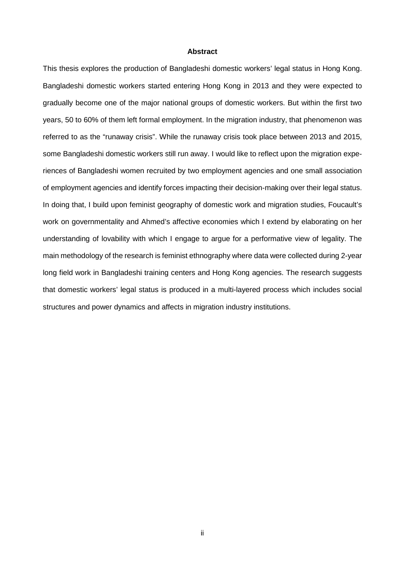### **Abstract**

This thesis explores the production of Bangladeshi domestic workers' legal status in Hong Kong. Bangladeshi domestic workers started entering Hong Kong in 2013 and they were expected to gradually become one of the major national groups of domestic workers. But within the first two years, 50 to 60% of them left formal employment. In the migration industry, that phenomenon was referred to as the "runaway crisis". While the runaway crisis took place between 2013 and 2015, some Bangladeshi domestic workers still run away. I would like to reflect upon the migration experiences of Bangladeshi women recruited by two employment agencies and one small association of employment agencies and identify forces impacting their decision-making over their legal status. In doing that, I build upon feminist geography of domestic work and migration studies, Foucault's work on governmentality and Ahmed's affective economies which I extend by elaborating on her understanding of lovability with which I engage to argue for a performative view of legality. The main methodology of the research is feminist ethnography where data were collected during 2-year long field work in Bangladeshi training centers and Hong Kong agencies. The research suggests that domestic workers' legal status is produced in a multi-layered process which includes social structures and power dynamics and affects in migration industry institutions.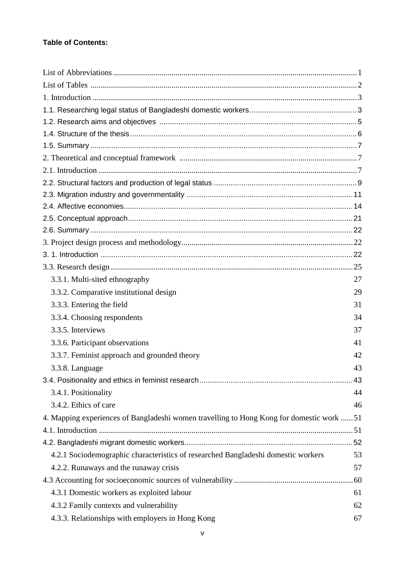### **Table of Contents:**

| 3.3.1. Multi-sited ethnography                                                            | 27 |
|-------------------------------------------------------------------------------------------|----|
| 3.3.2. Comparative institutional design                                                   | 29 |
| 3.3.3. Entering the field                                                                 | 31 |
| 3.3.4. Choosing respondents                                                               | 34 |
| 3.3.5. Interviews                                                                         | 37 |
| 3.3.6. Participant observations                                                           | 41 |
| 3.3.7. Feminist approach and grounded theory                                              | 42 |
| 3.3.8. Language                                                                           | 43 |
|                                                                                           |    |
| 3.4.1. Positionality                                                                      | 44 |
| 3.4.2. Ethics of care                                                                     | 46 |
| 4. Mapping experiences of Bangladeshi women travelling to Hong Kong for domestic work  51 |    |
|                                                                                           |    |
|                                                                                           |    |
| 4.2.1 Sociodemographic characteristics of researched Bangladeshi domestic workers         | 53 |
| 4.2.2. Runaways and the runaway crisis                                                    | 57 |
|                                                                                           |    |
| 4.3.1 Domestic workers as exploited labour                                                | 61 |
| 4.3.2 Family contexts and vulnerability                                                   | 62 |
| 4.3.3. Relationships with employers in Hong Kong                                          | 67 |